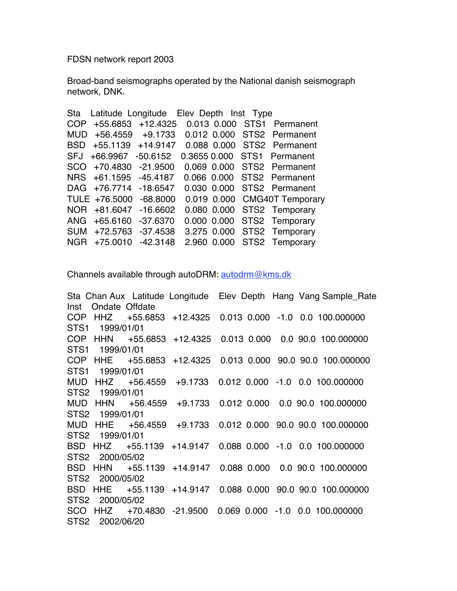FDSN network report 2003

Broad-band seismographs operated by the National danish seismograph network, DNK.

|            |               | Sta Latitude Longitude Elev Depth Inst Type |  |                               |
|------------|---------------|---------------------------------------------|--|-------------------------------|
| <b>COP</b> |               | +55.6853 +12.4325                           |  | 0.013 0.000 STS1 Permanent    |
| <b>MUD</b> |               | +56.4559 +9.1733                            |  | 0.012 0.000 STS2 Permanent    |
| <b>BSD</b> |               | +55.1139 +14.9147                           |  | 0.088 0.000 STS2 Permanent    |
| <b>SFJ</b> | +66.9967      | $-50.6152$                                  |  | 0.3655 0.000 STS1 Permanent   |
| <b>SCO</b> | +70.4830      | $-21.9500$                                  |  | 0.069  0.000  STS2  Permanent |
|            | NRS +61.1595  | $-45.4187$                                  |  | 0.066 0.000 STS2 Permanent    |
|            |               | DAG +76.7714 -18.6547                       |  | 0.030 0.000 STS2 Permanent    |
|            | TULE +76.5000 | $-68.8000$                                  |  | 0.019 0.000 CMG40T Temporary  |
| <b>NOR</b> | $+81.6047$    | $-16.6602$                                  |  | 0.080 0.000 STS2 Temporary    |
| ANG.       | +65.6160      | $-37.6370$                                  |  | 0.000 0.000 STS2 Temporary    |
| <b>SUM</b> | +72.5763      | $-37.4538$                                  |  | 3.275 0.000 STS2 Temporary    |
| <b>NGR</b> | $+75.0010$    | $-42.3148$                                  |  | 2.960 0.000 STS2 Temporary    |
|            |               |                                             |  |                               |

Channels available through autoDRM: autodrm@kms.dk

Sta Chan Aux Latitude Longitude Elev Depth Hang Vang Sample\_Rate Inst Ondate Offdate COP HHZ +55.6853 +12.4325 0.013 0.000 -1.0 0.0 100.000000 STS1 1999/01/01 COP HHN +55.6853 +12.4325 0.013 0.000 0.0 90.0 100.000000 STS1 1999/01/01 COP HHE +55.6853 +12.4325 0.013 0.000 90.0 90.0 100.000000 STS1 1999/01/01 MUD HHZ +56.4559 +9.1733 0.012 0.000 -1.0 0.0 100.000000 STS2 1999/01/01 MUD HHN +56.4559 +9.1733 0.012 0.000 0.0 90.0 100.000000 STS2 1999/01/01 MUD HHE +56.4559 +9.1733 0.012 0.000 90.0 90.0 100.000000 STS2 1999/01/01 BSD HHZ +55.1139 +14.9147 0.088 0.000 -1.0 0.0 100.000000 STS2 2000/05/02 BSD HHN +55.1139 +14.9147 0.088 0.000 0.0 90.0 100.000000 STS2 2000/05/02 BSD HHE +55.1139 +14.9147 0.088 0.000 90.0 90.0 100.000000 STS2 2000/05/02 SCO HHZ +70.4830 -21.9500 0.069 0.000 -1.0 0.0 100.000000 STS2 2002/06/20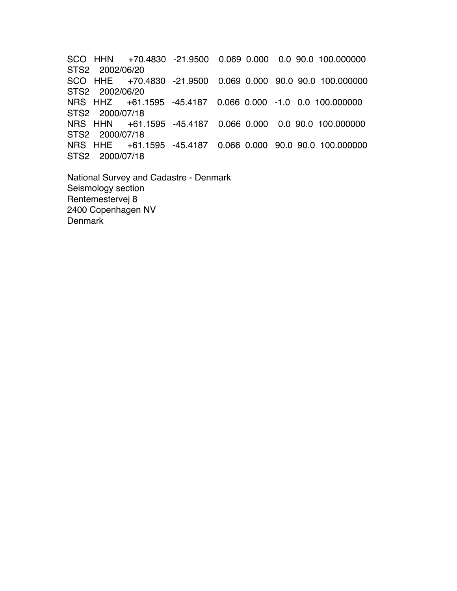SCO HHN +70.4830 -21.9500 0.069 0.000 0.0 90.0 100.000000 STS2 2002/06/20 SCO HHE +70.4830 -21.9500 0.069 0.000 90.0 90.0 100.000000 STS2 2002/06/20 +61.1595 -45.4187 0.066 0.000 -1.0 0.0 100.000000 STS2 2000/07/18 NRS HHN +61.1595 -45.4187 0.066 0.000 0.0 90.0 100.000000 STS2 2000/07/18 NRS HHE +61.1595 -45.4187 0.066 0.000 90.0 90.0 100.000000 STS2 2000/07/18

National Survey and Cadastre - Denmark Seismology section Rentemestervej 8 2400 Copenhagen NV **Denmark**